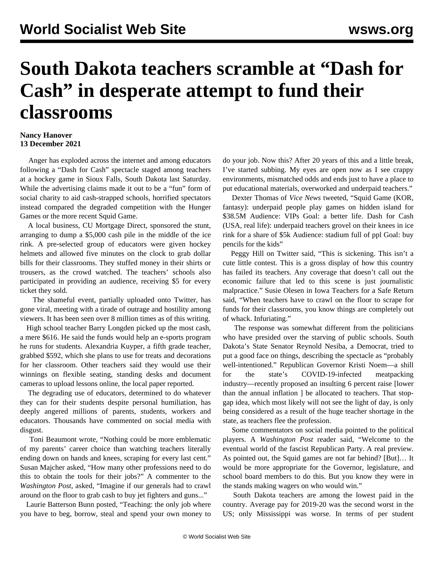## **South Dakota teachers scramble at "Dash for Cash" in desperate attempt to fund their classrooms**

## **Nancy Hanover 13 December 2021**

 Anger has exploded across the internet and among educators following a "Dash for Cash" spectacle staged among teachers at a hockey game in Sioux Falls, South Dakota last Saturday. While the advertising claims made it out to be a "fun" form of social charity to aid cash-strapped schools, horrified spectators instead compared the degraded competition with the Hunger Games or the more recent [Squid Game.](/en/articles/2021/10/15/squi-o15.html)

 A local business, CU Mortgage Direct, sponsored the stunt, arranging to dump a \$5,000 cash pile in the middle of the ice rink. A pre-selected group of educators were given hockey helmets and allowed five minutes on the clock to grab dollar bills for their classrooms. They stuffed money in their shirts or trousers, as the crowd watched. The teachers' schools also participated in providing an audience, receiving \$5 for every ticket they sold.

 The shameful event, partially uploaded onto [Twitter,](https://twitter.com/AnnieTodd96/status/1469835556691587076) has gone viral, meeting with a tirade of outrage and hostility among viewers. It has been seen over 8 million times as of this writing.

 High school teacher Barry Longden picked up the most cash, a mere \$616. He said the funds would help an e-sports program he runs for students. Alexandria Kuyper, a fifth grade teacher, grabbed \$592, which she plans to use for treats and decorations for her classroom. Other teachers said they would use their winnings on flexible seating, standing desks and document cameras to upload lessons online, the local paper reported.

 The degrading use of educators, determined to do whatever they can for their students despite personal humiliation, has deeply angered millions of parents, students, workers and educators. Thousands have commented on social media with disgust.

 Toni Beaumont wrote, "Nothing could be more emblematic of my parents' career choice than watching teachers literally ending down on hands and knees, scraping for every last cent." Susan Majcher asked, "How many other professions need to do this to obtain the tools for their jobs?" A commenter to the *Washington Post*, asked, "Imagine if our generals had to crawl around on the floor to grab cash to buy jet fighters and guns..."

 Laurie Batterson Bunn posted, "Teaching: the only job where you have to beg, borrow, steal and spend your own money to do your job. Now this? After 20 years of this and a little break, I've started subbing. My eyes are open now as I see crappy environments, mismatched odds and ends just to have a place to put educational materials, overworked and underpaid teachers."

 Dexter Thomas of *Vice News* tweeted, "Squid Game (KOR, fantasy): underpaid people play games on hidden island for \$38.5M Audience: VIPs Goal: a better life. Dash for Cash (USA, real life): underpaid teachers grovel on their knees in ice rink for a share of \$5k Audience: stadium full of ppl Goal: buy pencils for the kids"

 Peggy Hill on Twitter said, "This is sickening. This isn't a cute little contest. This is a gross display of how this country has failed its teachers. Any coverage that doesn't call out the economic failure that led to this scene is just journalistic malpractice." Susie Olesen in Iowa Teachers for a Safe Return said, "When teachers have to crawl on the floor to scrape for funds for their classrooms, you know things are completely out of whack. Infuriating."

 The response was somewhat different from the politicians who have presided over the starving of public schools. South Dakota's State Senator Reynold Nesiba, a Democrat, tried to put a good face on things, describing the spectacle as "probably well-intentioned." Republican Governor Kristi Noem—a shill for the state's COVID-19-infected meatpacking industry—recently proposed an insulting 6 percent raise [lower than the [annual inflation](/en/articles/2021/11/11/pers-n11.html) ] be allocated to teachers. That stopgap idea, which most likely will not see the light of day, is only being considered as a result of the huge teacher shortage in the state, as teachers flee the profession.

 Some commentators on social media pointed to the political players. A *Washington Post* reader said, "Welcome to the eventual world of the fascist Republican Party. A real preview. As pointed out, the Squid games are not far behind? [But]… It would be more appropriate for the Governor, legislature, and school board members to do this. But you know they were in the stands making wagers on who would win."

 South Dakota teachers are among the lowest paid in the country. Average pay for 2019-20 was the second worst in the US; only Mississippi was worse. In terms of per student